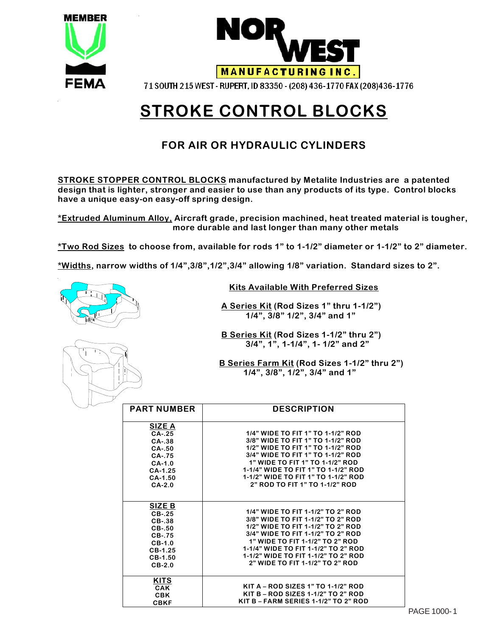

# **STROKE CONTROL BLOCKS**

#### **FOR AIR OR HYDRAULIC CYLINDERS**

**STROKE STOPPER CONTROL BLOCKS manufactured by Metalite Industries are a patented design that is lighter, stronger and easier to use than any products of its type. Control blocks have a unique easy-on easy-off spring design.** 

**\*Extruded Aluminum Alloy, Aircraft grade, precision machined, heat treated material is tougher, more durable and last longer than many other metals** 

**\*Two Rod Sizes to choose from, available for rods 1" to 1-1/2" diameter or 1-1/2" to 2" diameter.**

**\*Widths, narrow widths of 1/4",3/8",1/2",3/4" allowing 1/8" variation. Standard sizes to 2".** 



 **Kits Available With Preferred Sizes**

 **A Series Kit (Rod Sizes 1" thru 1-1/2") 1/4", 3/8" 1/2", 3/4" and 1"** 

 **B Series Kit (Rod Sizes 1-1/2" thru 2") 3/4", 1", 1-1/4", 1- 1/2" and 2"** 

 **B Series Farm Kit (Rod Sizes 1-1/2" thru 2") 1/4", 3/8", 1/2", 3/4" and 1"** 

| <b>PART NUMBER</b>                                                                                              | <b>DESCRIPTION</b>                                                                                                                                                                                                                                                                                   |  |  |
|-----------------------------------------------------------------------------------------------------------------|------------------------------------------------------------------------------------------------------------------------------------------------------------------------------------------------------------------------------------------------------------------------------------------------------|--|--|
| <b>SIZE A</b><br>$CA-25$<br>$CA-.38$<br>$CA-.50$<br>$CA - 75$<br>$CA-1.0$<br>$CA-1.25$<br>$CA-1.50$<br>$CA-2.0$ | 1/4" WIDE TO FIT 1" TO 1-1/2" ROD<br>3/8" WIDE TO FIT 1" TO 1-1/2" ROD<br>1/2" WIDE TO FIT 1" TO 1-1/2" ROD<br>3/4" WIDE TO FIT 1" TO 1-1/2" ROD<br>1" WIDE TO FIT 1" TO 1-1/2" ROD<br>1-1/4" WIDE TO FIT 1" TO 1-1/2" ROD<br>1-1/2" WIDE TO FIT 1" TO 1-1/2" ROD<br>2" ROD TO FIT 1" TO 1-1/2" ROD  |  |  |
| <b>SIZE B</b><br>$CB-.25$<br>$CB-.38$<br>$CB-.50$<br>$CB-.75$<br>$CB-1.0$<br>$CB-1.25$<br>$CB-1.50$<br>$CB-2.0$ | 1/4" WIDE TO FIT 1-1/2" TO 2" ROD<br>3/8" WIDE TO FIT 1-1/2" TO 2" ROD<br>1/2" WIDE TO FIT 1-1/2" TO 2" ROD<br>3/4" WIDE TO FIT 1-1/2" TO 2" ROD<br>1" WIDE TO FIT 1-1/2" TO 2" ROD<br>1-1/4" WIDE TO FIT 1-1/2" TO 2" ROD<br>1-1/2" WIDE TO FIT 1-1/2" TO 2" ROD<br>2" WIDE TO FIT 1-1/2" TO 2" ROD |  |  |
| <b>KITS</b><br><b>CAK</b><br><b>CBK</b><br><b>CBKF</b>                                                          | <b>KIT A - ROD SIZES 1" TO 1-1/2" ROD</b><br>KIT B - ROD SIZES 1-1/2" TO 2" ROD<br><b>KIT B - FARM SERIES 1-1/2" TO 2" ROD</b>                                                                                                                                                                       |  |  |



PAGE 1000-1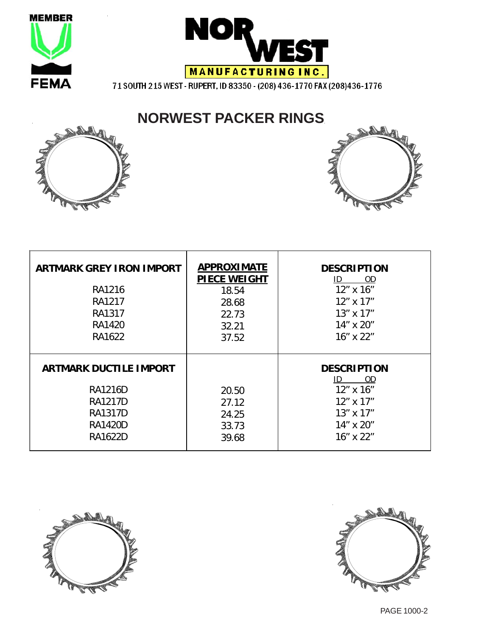



71 SOUTH 215 WEST - RUPERT, ID 83350 - (208) 436-1770 FAX (208)436-1776

## **NORWEST PACKER RINGS**





| <b>ARTMARK GREY IRON IMPORT</b><br>RA1216<br>RA1217<br>RA1317<br>RA1420<br>RA1622                                       | <b>APPROXIMATE</b><br><b>PIECE WEIGHT</b><br>18.54<br>28.68<br>22.73<br>32.21<br>37.52 | <b>DESCRIPTION</b><br><b>OD</b><br>ID.<br>12" x 16"<br>12" x 17"<br>$13'' \times 17''$<br>14" x 20"<br>16" x 22"                            |
|-------------------------------------------------------------------------------------------------------------------------|----------------------------------------------------------------------------------------|---------------------------------------------------------------------------------------------------------------------------------------------|
| <b>ARTMARK DUCTILE IMPORT</b><br><b>RA1216D</b><br><b>RA1217D</b><br><b>RA1317D</b><br><b>RA1420D</b><br><b>RA1622D</b> | 20.50<br>27.12<br>24.25<br>33.73<br>39.68                                              | <b>DESCRIPTION</b><br><b>OD</b><br>ID.<br>$12'' \times 16''$<br>$12'' \times 17''$<br>$13'' \times 17''$<br>$14'' \times 20''$<br>16" x 22" |





PAGE 1000-2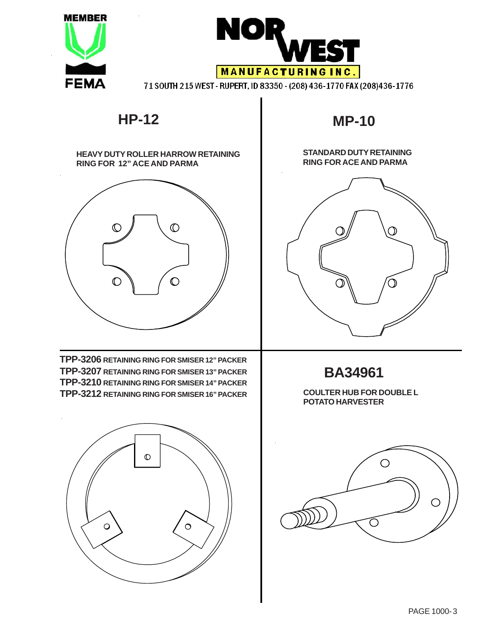



71 SOUTH 215 WEST - RUPERT, ID 83350 - (208) 436-1770 FAX (208)436-1776

#### **HP-12**

**HEAVY DUTY ROLLER HARROW RETAINING RING FOR 12" ACE AND PARMA**



**TPP-3206 RETAINING RING FOR SMISER 12" PACKER TPP-3207 RETAINING RING FOR SMISER 13" PACKER TPP-3210 RETAINING RING FOR SMISER 14" PACKER TPP-3212 RETAINING RING FOR SMISER 16" PACKER**

 $\mathbb{O}$  $\circ$  $\circ$ 

#### **MP-10**

#### **STANDARD DUTY RETAINING RING FOR ACE AND PARMA**



**BA34961**

**COULTER HUB FOR DOUBLE L POTATO HARVESTER**